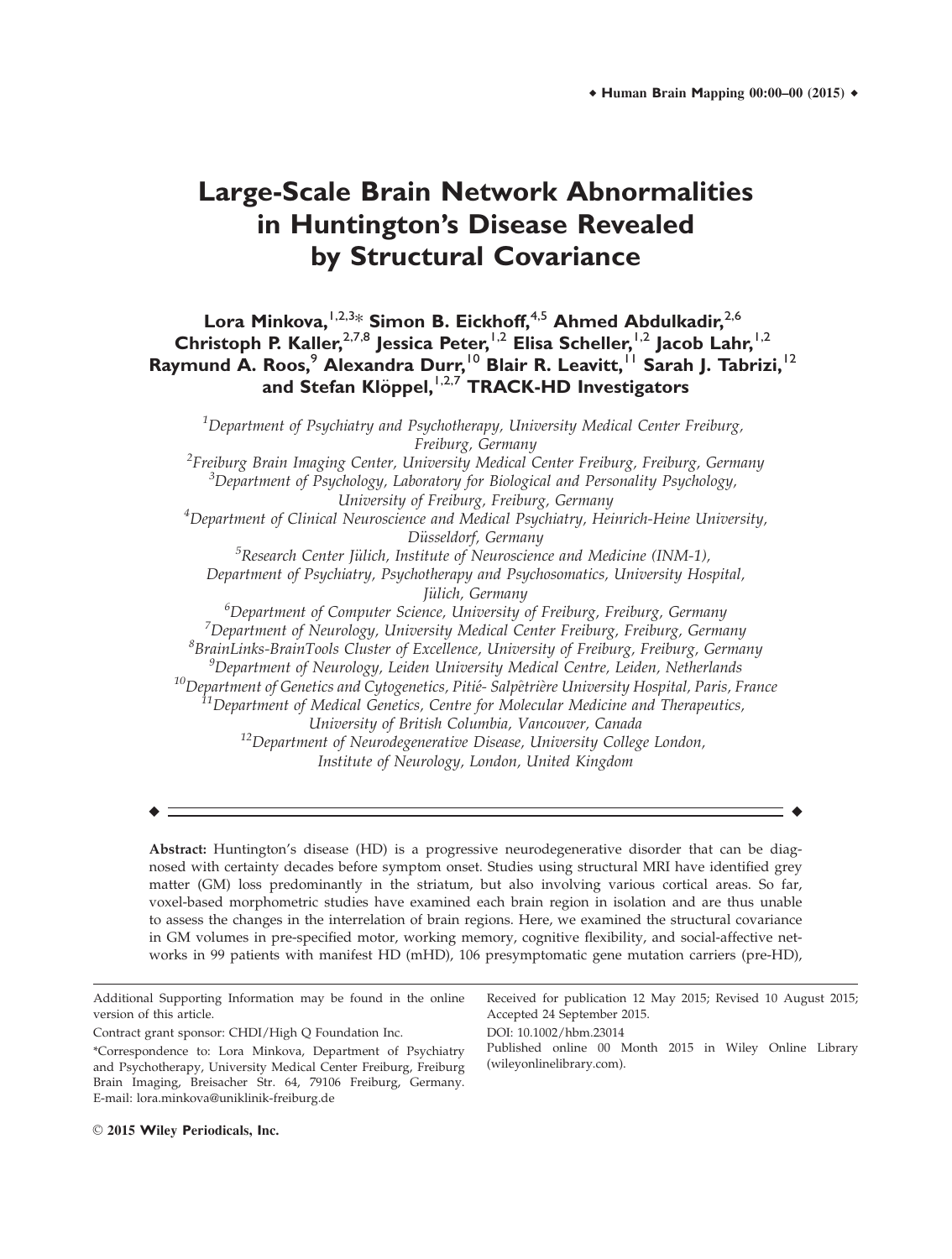# **Large-Scale Brain Network Abnormalities in Huntington's Disease Revealed by Structural Covariance**

**Lora Minkova,**1,2,3\* **Simon B. Eickhoff,**4,5 **Ahmed Abdulkadir,**2,6 **Christoph P. Kaller,**2,7,8 **Jessica Peter,**1,2 **Elisa Scheller,**1,2 **Jacob Lahr,**1,2 **Raymund A. Roos,**<sup>9</sup> **Alexandra Durr,**<sup>10</sup> **Blair R. Leavitt,**<sup>11</sup> **Sarah J. Tabrizi,**<sup>12</sup> and Stefan Klöppel, <sup>1,2,7</sup> TRACK-HD Investigators

 $^1$ Department of Psychiatry and Psychotherapy, University Medical Center Freiburg, Freiburg, Germany

 $^{2}$ Freiburg Brain Imaging Center, University Medical Center Freiburg, Freiburg, Germany  ${}^{3}$ Department of Psychology, Laboratory for Biological and Personality Psychology, University of Freiburg, Freiburg, Germany

<sup>4</sup>Department of Clinical Neuroscience and Medical Psychiatry, Heinrich-Heine University,

Düsseldorf, Germany<br><sup>5</sup> Research Center Jülich, Institute of Neuroscience and Medicine (INM-1), Department of Psychiatry, Psychotherapy and Psychosomatics, University Hospital,

Jülich, Germany<br><sup>6</sup>Department of Computer Science, University of Freiburg, Freiburg, Germany <sup>7</sup>Department of Neurology, University Medical Center Freiburg, Freiburg, Germany  $^8$ BrainLinks-BrainTools Cluster of Excellence, University of Freiburg, Freiburg, Germany  $^9$ Department of Neurology, Leiden University Medical Centre, Leiden, Netherlands  $^{10}$ Department of Genetics and Cytogenetics, Pitié- Salpêtrière University Hospital, Paris, France <sup>11</sup>Department of Medical Genetics, Centre for Molecular Medicine and Therapeutics, University of British Columbia, Vancouver, Canada  $12$ Department of Neurodegenerative Disease, University College London, Institute of Neurology, London, United Kingdom

Abstract: Huntington's disease (HD) is a progressive neurodegenerative disorder that can be diagnosed with certainty decades before symptom onset. Studies using structural MRI have identified grey matter (GM) loss predominantly in the striatum, but also involving various cortical areas. So far, voxel-based morphometric studies have examined each brain region in isolation and are thus unable to assess the changes in the interrelation of brain regions. Here, we examined the structural covariance in GM volumes in pre-specified motor, working memory, cognitive flexibility, and social-affective networks in 99 patients with manifest HD (mHD), 106 presymptomatic gene mutation carriers (pre-HD),

r r

Additional Supporting Information may be found in the online version of this article.

Contract grant sponsor: CHDI/High Q Foundation Inc.

Received for publication 12 May 2015; Revised 10 August 2015; Accepted 24 September 2015.

DOI: 10.1002/hbm.23014

Published online 00 Month 2015 in Wiley Online Library (wileyonlinelibrary.com).

 $\odot$  2015 Wiley Periodicals, Inc.

<sup>\*</sup>Correspondence to: Lora Minkova, Department of Psychiatry and Psychotherapy, University Medical Center Freiburg, Freiburg Brain Imaging, Breisacher Str. 64, 79106 Freiburg, Germany. E-mail: lora.minkova@uniklinik-freiburg.de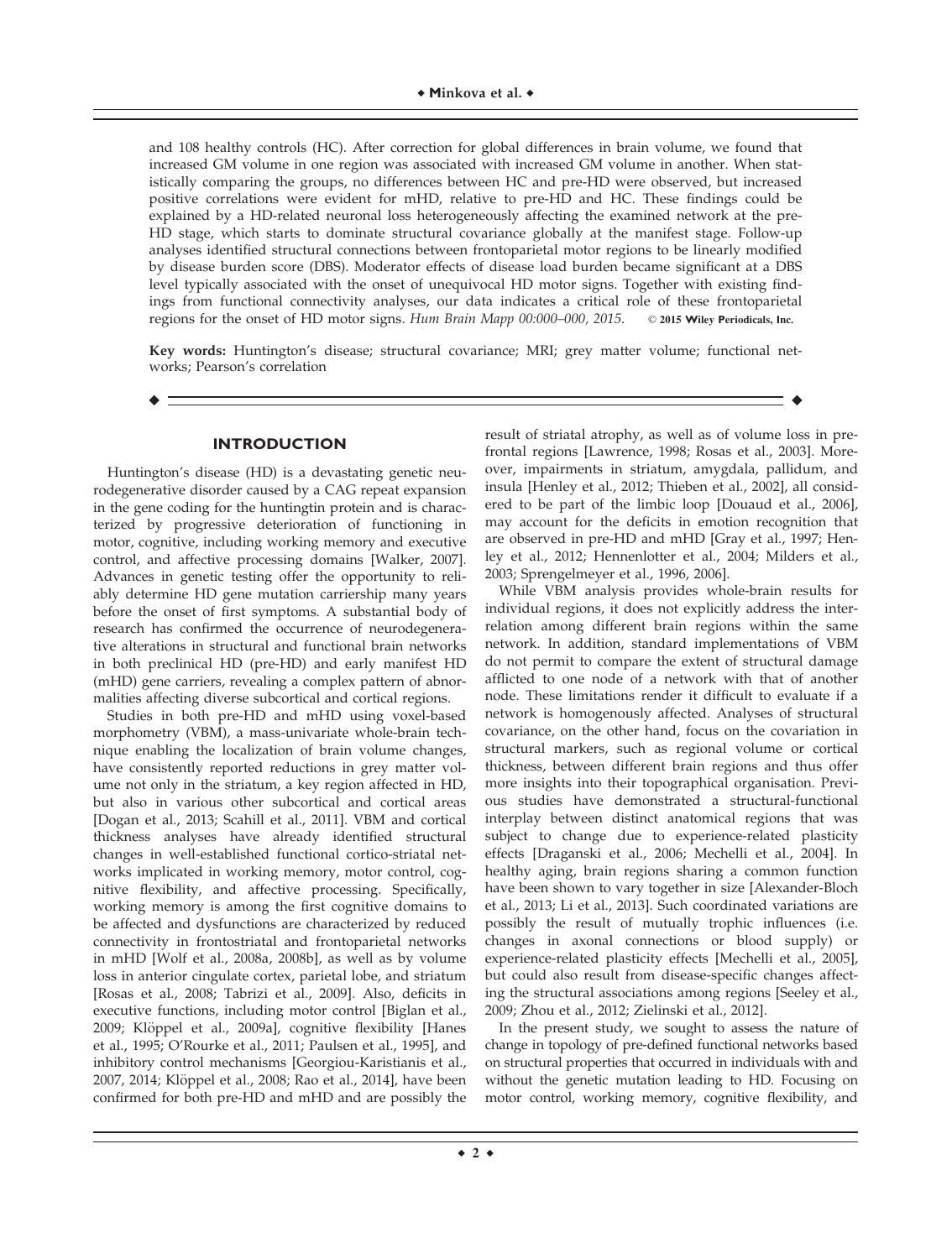and 108 healthy controls (HC). After correction for global differences in brain volume, we found that increased GM volume in one region was associated with increased GM volume in another. When statistically comparing the groups, no differences between HC and pre-HD were observed, but increased positive correlations were evident for mHD, relative to pre-HD and HC. These findings could be explained by a HD-related neuronal loss heterogeneously affecting the examined network at the pre-HD stage, which starts to dominate structural covariance globally at the manifest stage. Follow-up analyses identified structural connections between frontoparietal motor regions to be linearly modified by disease burden score (DBS). Moderator effects of disease load burden became significant at a DBS level typically associated with the onset of unequivocal HD motor signs. Together with existing findings from functional connectivity analyses, our data indicates a critical role of these frontoparietal regions for the onset of HD motor signs. Hum Brain Mapp 00:000–000, 2015.  $\circ$  2015 Wiley Periodicals, Inc.

Key words: Huntington's disease; structural covariance; MRI; grey matter volume; functional networks; Pearson's correlation

r r

# **INTRODUCTION**

Huntington's disease (HD) is a devastating genetic neurodegenerative disorder caused by a CAG repeat expansion in the gene coding for the huntingtin protein and is characterized by progressive deterioration of functioning in motor, cognitive, including working memory and executive control, and affective processing domains [Walker, 2007]. Advances in genetic testing offer the opportunity to reliably determine HD gene mutation carriership many years before the onset of first symptoms. A substantial body of research has confirmed the occurrence of neurodegenerative alterations in structural and functional brain networks in both preclinical HD (pre-HD) and early manifest HD (mHD) gene carriers, revealing a complex pattern of abnormalities affecting diverse subcortical and cortical regions.

Studies in both pre-HD and mHD using voxel-based morphometry (VBM), a mass-univariate whole-brain technique enabling the localization of brain volume changes, have consistently reported reductions in grey matter volume not only in the striatum, a key region affected in HD, but also in various other subcortical and cortical areas [Dogan et al., 2013; Scahill et al., 2011]. VBM and cortical thickness analyses have already identified structural changes in well-established functional cortico-striatal networks implicated in working memory, motor control, cognitive flexibility, and affective processing. Specifically, working memory is among the first cognitive domains to be affected and dysfunctions are characterized by reduced connectivity in frontostriatal and frontoparietal networks in mHD [Wolf et al., 2008a, 2008b], as well as by volume loss in anterior cingulate cortex, parietal lobe, and striatum [Rosas et al., 2008; Tabrizi et al., 2009]. Also, deficits in executive functions, including motor control [Biglan et al., 2009; Klöppel et al., 2009a], cognitive flexibility [Hanes et al., 1995; O'Rourke et al., 2011; Paulsen et al., 1995], and inhibitory control mechanisms [Georgiou-Karistianis et al., 2007, 2014; Klöppel et al., 2008; Rao et al., 2014], have been confirmed for both pre-HD and mHD and are possibly the

result of striatal atrophy, as well as of volume loss in prefrontal regions [Lawrence, 1998; Rosas et al., 2003]. Moreover, impairments in striatum, amygdala, pallidum, and insula [Henley et al., 2012; Thieben et al., 2002], all considered to be part of the limbic loop [Douaud et al., 2006], may account for the deficits in emotion recognition that are observed in pre-HD and mHD [Gray et al., 1997; Henley et al., 2012; Hennenlotter et al., 2004; Milders et al., 2003; Sprengelmeyer et al., 1996, 2006].

While VBM analysis provides whole-brain results for individual regions, it does not explicitly address the interrelation among different brain regions within the same network. In addition, standard implementations of VBM do not permit to compare the extent of structural damage afflicted to one node of a network with that of another node. These limitations render it difficult to evaluate if a network is homogenously affected. Analyses of structural covariance, on the other hand, focus on the covariation in structural markers, such as regional volume or cortical thickness, between different brain regions and thus offer more insights into their topographical organisation. Previous studies have demonstrated a structural-functional interplay between distinct anatomical regions that was subject to change due to experience-related plasticity effects [Draganski et al., 2006; Mechelli et al., 2004]. In healthy aging, brain regions sharing a common function have been shown to vary together in size [Alexander-Bloch et al., 2013; Li et al., 2013]. Such coordinated variations are possibly the result of mutually trophic influences (i.e. changes in axonal connections or blood supply) or experience-related plasticity effects [Mechelli et al., 2005], but could also result from disease-specific changes affecting the structural associations among regions [Seeley et al., 2009; Zhou et al., 2012; Zielinski et al., 2012].

In the present study, we sought to assess the nature of change in topology of pre-defined functional networks based on structural properties that occurred in individuals with and without the genetic mutation leading to HD. Focusing on motor control, working memory, cognitive flexibility, and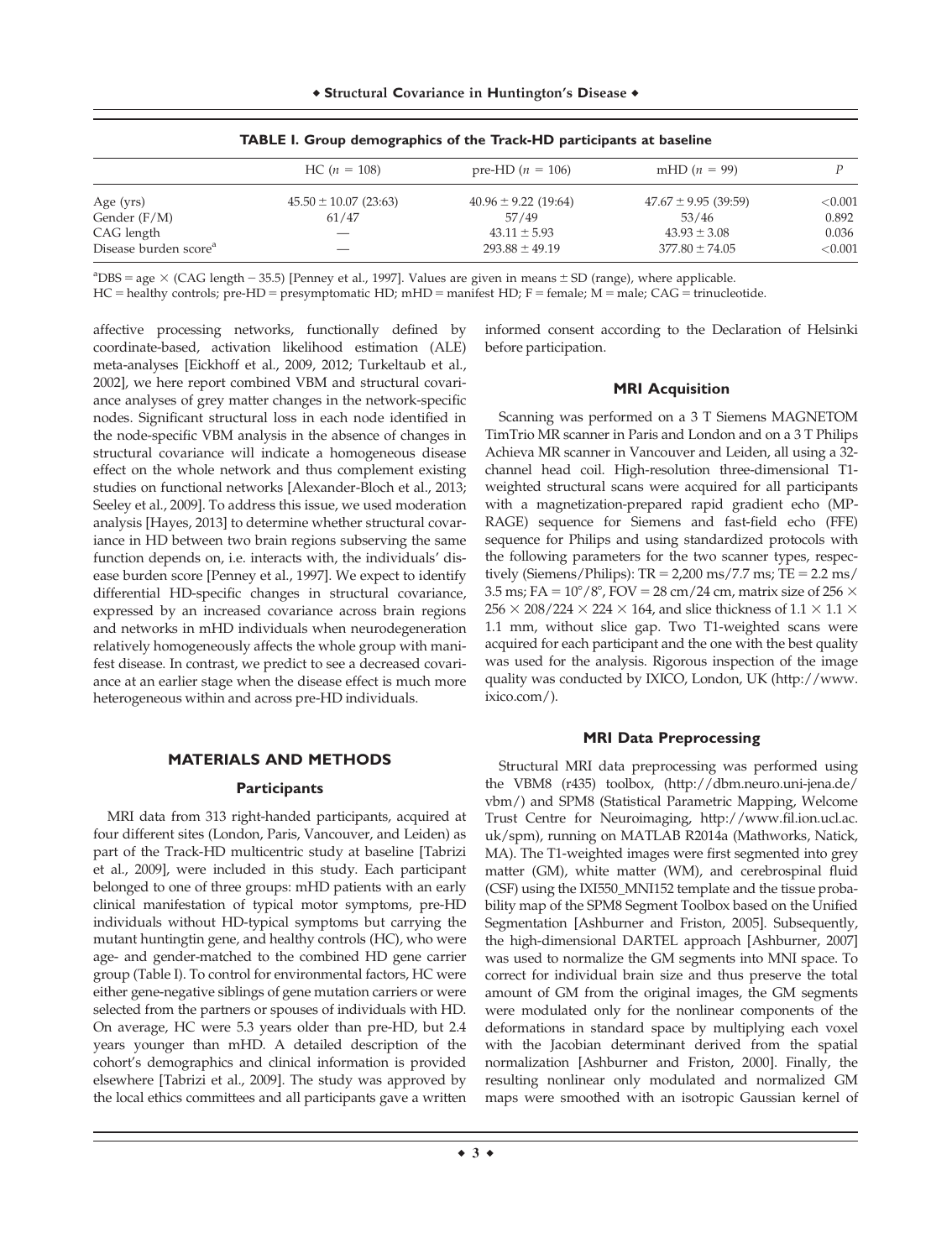|                                   | $HC (n = 108)$            | pre-HD $(n = 106)$       | mHD $(n = 99)$           |         |  |
|-----------------------------------|---------------------------|--------------------------|--------------------------|---------|--|
| Age (yrs)                         | $45.50 \pm 10.07$ (23:63) | $40.96 \pm 9.22$ (19:64) | $47.67 \pm 9.95$ (39:59) | < 0.001 |  |
| Gender $(F/M)$                    | 61/47                     | 57/49                    | 53/46                    | 0.892   |  |
| CAG length                        |                           | $43.11 \pm 5.93$         | $43.93 \pm 3.08$         | 0.036   |  |
| Disease burden score <sup>a</sup> |                           | $293.88 \pm 49.19$       | $377.80 \pm 74.05$       | < 0.001 |  |

**TABLE I. Group demographics of the Track-HD participants at baseline**

 $a<sup>a</sup>DBS = age \times (CAG length - 35.5)$  [Penney et al., 1997]. Values are given in means  $\pm$  SD (range), where applicable.

 $HC =$  healthy controls; pre-HD = presymptomatic HD; mHD = manifest HD;  $F =$  female;  $M =$  male; CAG = trinucleotide.

affective processing networks, functionally defined by coordinate-based, activation likelihood estimation (ALE) meta-analyses [Eickhoff et al., 2009, 2012; Turkeltaub et al., 2002], we here report combined VBM and structural covariance analyses of grey matter changes in the network-specific nodes. Significant structural loss in each node identified in the node-specific VBM analysis in the absence of changes in structural covariance will indicate a homogeneous disease effect on the whole network and thus complement existing studies on functional networks [Alexander-Bloch et al., 2013; Seeley et al., 2009]. To address this issue, we used moderation analysis [Hayes, 2013] to determine whether structural covariance in HD between two brain regions subserving the same function depends on, i.e. interacts with, the individuals' disease burden score [Penney et al., 1997]. We expect to identify differential HD-specific changes in structural covariance, expressed by an increased covariance across brain regions and networks in mHD individuals when neurodegeneration relatively homogeneously affects the whole group with manifest disease. In contrast, we predict to see a decreased covariance at an earlier stage when the disease effect is much more heterogeneous within and across pre-HD individuals.

## **MATERIALS AND METHODS**

### **Participants**

MRI data from 313 right-handed participants, acquired at four different sites (London, Paris, Vancouver, and Leiden) as part of the Track-HD multicentric study at baseline [Tabrizi et al., 2009], were included in this study. Each participant belonged to one of three groups: mHD patients with an early clinical manifestation of typical motor symptoms, pre-HD individuals without HD-typical symptoms but carrying the mutant huntingtin gene, and healthy controls (HC), who were age- and gender-matched to the combined HD gene carrier group (Table I). To control for environmental factors, HC were either gene-negative siblings of gene mutation carriers or were selected from the partners or spouses of individuals with HD. On average, HC were 5.3 years older than pre-HD, but 2.4 years younger than mHD. A detailed description of the cohort's demographics and clinical information is provided elsewhere [Tabrizi et al., 2009]. The study was approved by the local ethics committees and all participants gave a written

informed consent according to the Declaration of Helsinki before participation.

#### **MRI Acquisition**

Scanning was performed on a 3 T Siemens MAGNETOM TimTrio MR scanner in Paris and London and on a 3 T Philips Achieva MR scanner in Vancouver and Leiden, all using a 32 channel head coil. High-resolution three-dimensional T1 weighted structural scans were acquired for all participants with a magnetization-prepared rapid gradient echo (MP-RAGE) sequence for Siemens and fast-field echo (FFE) sequence for Philips and using standardized protocols with the following parameters for the two scanner types, respectively (Siemens/Philips):  $TR = 2,200$  ms/7.7 ms;  $TE = 2.2$  ms/ 3.5 ms; FA =  $10^{\circ}/8^{\circ}$ , FOV = 28 cm/24 cm, matrix size of 256  $\times$  $256 \times 208/224 \times 224 \times 164$ , and slice thickness of 1.1  $\times$  1.1  $\times$ 1.1 mm, without slice gap. Two T1-weighted scans were acquired for each participant and the one with the best quality was used for the analysis. Rigorous inspection of the image quality was conducted by IXICO, London, UK [\(http://www.](http://www.ixico.com) [ixico.com/](http://www.ixico.com)).

#### **MRI Data Preprocessing**

Structural MRI data preprocessing was performed using the VBM8 (r435) toolbox, [\(http://dbm.neuro.uni-jena.de/](http://dbm.neuro.uni-jena.de/vbm) [vbm/](http://dbm.neuro.uni-jena.de/vbm)) and SPM8 (Statistical Parametric Mapping, Welcome Trust Centre for Neuroimaging, [http://www.fil.ion.ucl.ac.](http://www.fil.ion.ucl.ac.uk/spm) [uk/spm](http://www.fil.ion.ucl.ac.uk/spm)), running on MATLAB R2014a (Mathworks, Natick, MA). The T1-weighted images were first segmented into grey matter (GM), white matter (WM), and cerebrospinal fluid (CSF) using the IXI550\_MNI152 template and the tissue probability map of the SPM8 Segment Toolbox based on the Unified Segmentation [Ashburner and Friston, 2005]. Subsequently, the high-dimensional DARTEL approach [Ashburner, 2007] was used to normalize the GM segments into MNI space. To correct for individual brain size and thus preserve the total amount of GM from the original images, the GM segments were modulated only for the nonlinear components of the deformations in standard space by multiplying each voxel with the Jacobian determinant derived from the spatial normalization [Ashburner and Friston, 2000]. Finally, the resulting nonlinear only modulated and normalized GM maps were smoothed with an isotropic Gaussian kernel of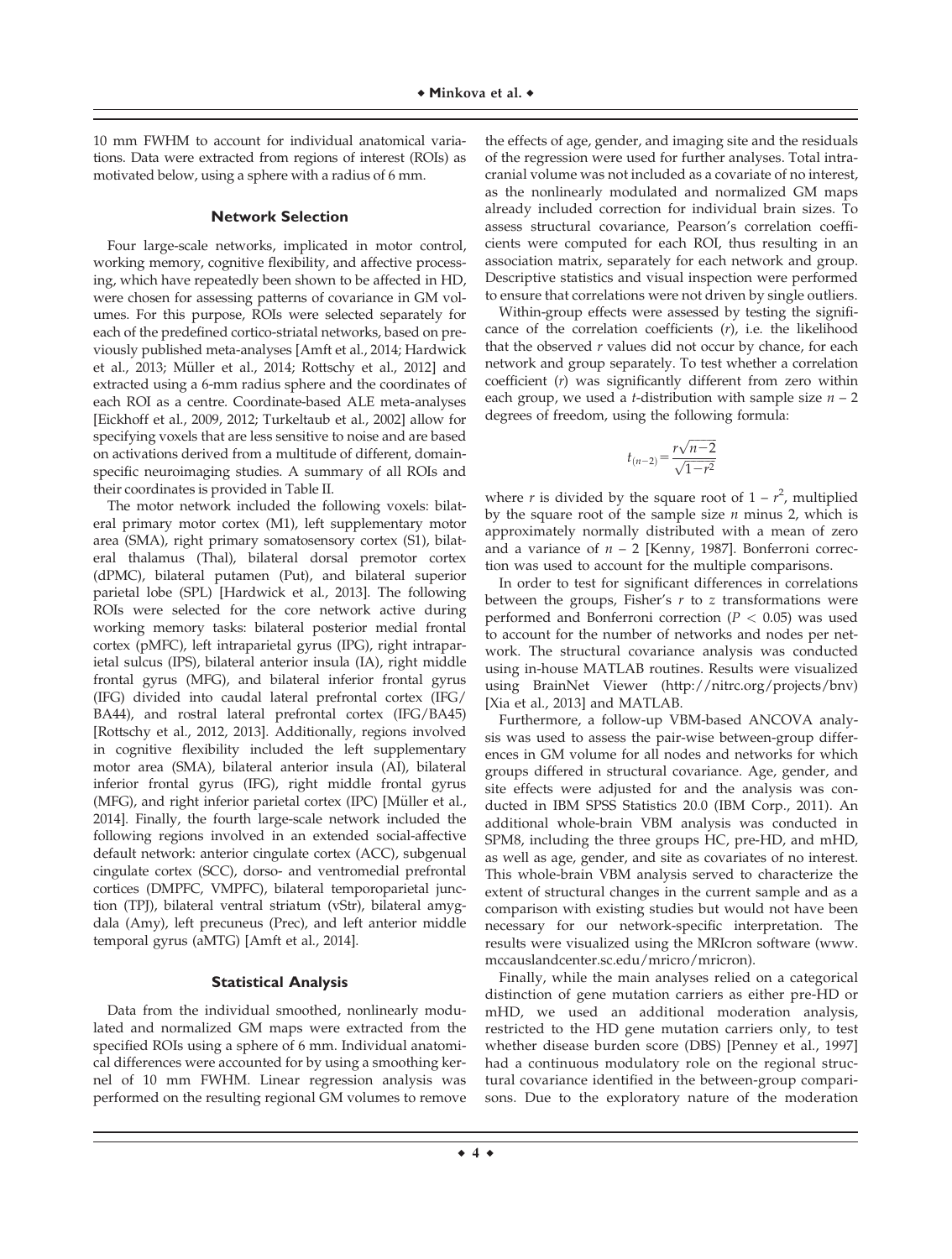10 mm FWHM to account for individual anatomical variations. Data were extracted from regions of interest (ROIs) as motivated below, using a sphere with a radius of 6 mm.

# **Network Selection**

Four large-scale networks, implicated in motor control, working memory, cognitive flexibility, and affective processing, which have repeatedly been shown to be affected in HD, were chosen for assessing patterns of covariance in GM volumes. For this purpose, ROIs were selected separately for each of the predefined cortico-striatal networks, based on previously published meta-analyses [Amft et al., 2014; Hardwick et al., 2013; Müller et al., 2014; Rottschy et al., 2012] and extracted using a 6-mm radius sphere and the coordinates of each ROI as a centre. Coordinate-based ALE meta-analyses [Eickhoff et al., 2009, 2012; Turkeltaub et al., 2002] allow for specifying voxels that are less sensitive to noise and are based on activations derived from a multitude of different, domainspecific neuroimaging studies. A summary of all ROIs and their coordinates is provided in Table II.

The motor network included the following voxels: bilateral primary motor cortex (M1), left supplementary motor area (SMA), right primary somatosensory cortex (S1), bilateral thalamus (Thal), bilateral dorsal premotor cortex (dPMC), bilateral putamen (Put), and bilateral superior parietal lobe (SPL) [Hardwick et al., 2013]. The following ROIs were selected for the core network active during working memory tasks: bilateral posterior medial frontal cortex (pMFC), left intraparietal gyrus (IPG), right intraparietal sulcus (IPS), bilateral anterior insula (IA), right middle frontal gyrus (MFG), and bilateral inferior frontal gyrus (IFG) divided into caudal lateral prefrontal cortex (IFG/ BA44), and rostral lateral prefrontal cortex (IFG/BA45) [Rottschy et al., 2012, 2013]. Additionally, regions involved in cognitive flexibility included the left supplementary motor area (SMA), bilateral anterior insula (AI), bilateral inferior frontal gyrus (IFG), right middle frontal gyrus  $(MFG)$ , and right inferior parietal cortex  $(IPC)$  [Müller et al., 2014]. Finally, the fourth large-scale network included the following regions involved in an extended social-affective default network: anterior cingulate cortex (ACC), subgenual cingulate cortex (SCC), dorso- and ventromedial prefrontal cortices (DMPFC, VMPFC), bilateral temporoparietal junction (TPJ), bilateral ventral striatum (vStr), bilateral amygdala (Amy), left precuneus (Prec), and left anterior middle temporal gyrus (aMTG) [Amft et al., 2014].

#### **Statistical Analysis**

Data from the individual smoothed, nonlinearly modulated and normalized GM maps were extracted from the specified ROIs using a sphere of 6 mm. Individual anatomical differences were accounted for by using a smoothing kernel of 10 mm FWHM. Linear regression analysis was performed on the resulting regional GM volumes to remove

the effects of age, gender, and imaging site and the residuals of the regression were used for further analyses. Total intracranial volume was not included as a covariate of no interest, as the nonlinearly modulated and normalized GM maps already included correction for individual brain sizes. To assess structural covariance, Pearson's correlation coefficients were computed for each ROI, thus resulting in an association matrix, separately for each network and group. Descriptive statistics and visual inspection were performed to ensure that correlations were not driven by single outliers.

Within-group effects were assessed by testing the significance of the correlation coefficients (r), i.e. the likelihood that the observed  $r$  values did not occur by chance, for each network and group separately. To test whether a correlation coefficient (r) was significantly different from zero within each group, we used a *t*-distribution with sample size  $n - 2$ degrees of freedom, using the following formula:

$$
t_{(n-2)} = \frac{r\sqrt{n-2}}{\sqrt{1-r^2}}
$$

where *r* is divided by the square root of  $1 - r^2$ , multiplied by the square root of the sample size  $n$  minus 2, which is approximately normally distributed with a mean of zero and a variance of  $n - 2$  [Kenny, 1987]. Bonferroni correction was used to account for the multiple comparisons.

In order to test for significant differences in correlations between the groups, Fisher's  $r$  to  $z$  transformations were performed and Bonferroni correction ( $P < 0.05$ ) was used to account for the number of networks and nodes per network. The structural covariance analysis was conducted using in-house MATLAB routines. Results were visualized using BrainNet Viewer [\(http://nitrc.org/projects/bnv\)](http://nitrc.org/projects/bnv) [Xia et al., 2013] and MATLAB.

Furthermore, a follow-up VBM-based ANCOVA analysis was used to assess the pair-wise between-group differences in GM volume for all nodes and networks for which groups differed in structural covariance. Age, gender, and site effects were adjusted for and the analysis was conducted in IBM SPSS Statistics 20.0 (IBM Corp., 2011). An additional whole-brain VBM analysis was conducted in SPM8, including the three groups HC, pre-HD, and mHD, as well as age, gender, and site as covariates of no interest. This whole-brain VBM analysis served to characterize the extent of structural changes in the current sample and as a comparison with existing studies but would not have been necessary for our network-specific interpretation. The results were visualized using the MRIcron software [\(www.](http://www.mccauslandcenter.sc.edu/mricro/mricron) [mccauslandcenter.sc.edu/mricro/mricron\)](http://www.mccauslandcenter.sc.edu/mricro/mricron).

Finally, while the main analyses relied on a categorical distinction of gene mutation carriers as either pre-HD or mHD, we used an additional moderation analysis, restricted to the HD gene mutation carriers only, to test whether disease burden score (DBS) [Penney et al., 1997] had a continuous modulatory role on the regional structural covariance identified in the between-group comparisons. Due to the exploratory nature of the moderation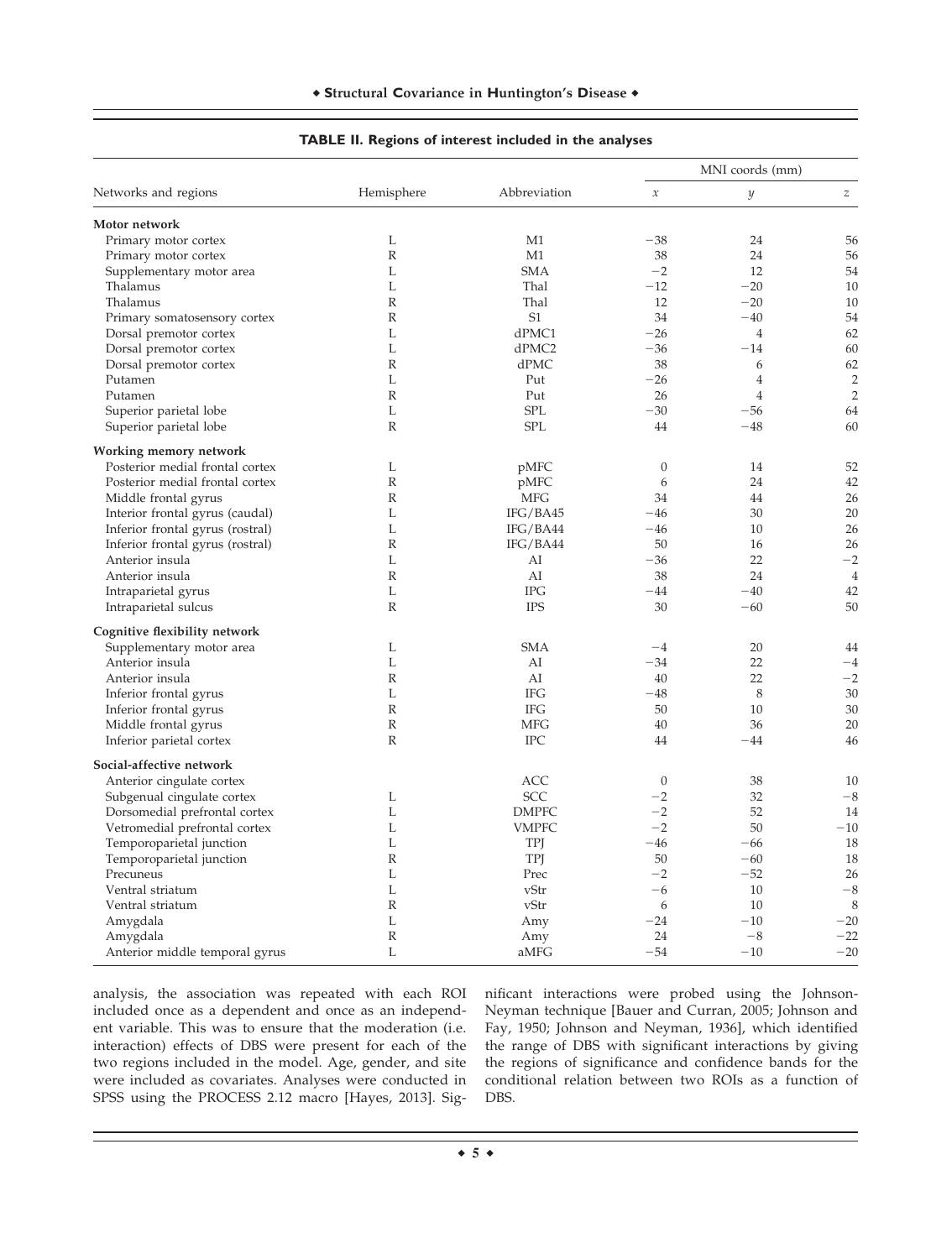|                                  |              |                   | MNI coords (mm)            |                |                  |
|----------------------------------|--------------|-------------------|----------------------------|----------------|------------------|
| Networks and regions             | Hemisphere   | Abbreviation      | $\boldsymbol{\mathcal{X}}$ | y              | $\boldsymbol{z}$ |
| Motor network                    |              |                   |                            |                |                  |
| Primary motor cortex             | L            | M1                | $-38$                      | 24             | 56               |
| Primary motor cortex             | $\mathbb{R}$ | M1                | 38                         | 24             | 56               |
| Supplementary motor area         | L            | <b>SMA</b>        | $-2$                       | 12             | 54               |
| Thalamus                         | L            | Thal              | $-12$                      | $-20$          | 10               |
| Thalamus                         | $\mathbb{R}$ | Thal              | 12                         | $-20$          | 10               |
| Primary somatosensory cortex     | $\mathbb{R}$ | S <sub>1</sub>    | 34                         | $-40$          | 54               |
| Dorsal premotor cortex           | L            | dPMC1             | $-26$                      | $\overline{4}$ | 62               |
| Dorsal premotor cortex           | L            | dPMC <sub>2</sub> | $-36$                      | $-14$          | 60               |
| Dorsal premotor cortex           | $\mathbb{R}$ | dPMC              | 38                         | 6              | 62               |
| Putamen                          | L            | Put               | $-26$                      | 4              | $\overline{2}$   |
| Putamen                          | $\mathbb{R}$ | Put               | 26                         | $\overline{4}$ | $\overline{2}$   |
| Superior parietal lobe           | L            | <b>SPL</b>        | $-30$                      | $-56$          | 64               |
| Superior parietal lobe           | $\mathbb{R}$ | <b>SPL</b>        | 44                         | $-48$          | 60               |
| Working memory network           |              |                   |                            |                |                  |
| Posterior medial frontal cortex  | L            | pMFC              | $\boldsymbol{0}$           | 14             | 52               |
| Posterior medial frontal cortex  | $\mathbb{R}$ | pMFC              | 6                          | 24             | 42               |
| Middle frontal gyrus             | $\mathbb{R}$ | <b>MFG</b>        | 34                         | 44             | 26               |
| Interior frontal gyrus (caudal)  | L            | IFG/BA45          | $-46$                      | 30             | 20               |
| Inferior frontal gyrus (rostral) | L            | IFG/BA44          | $-46$                      | 10             | 26               |
| Inferior frontal gyrus (rostral) | $\mathbb{R}$ | IFG/BA44          | 50                         | 16             | 26               |
| Anterior insula                  | L            | AI                | $-36$                      | 22             | $^{-2}$          |
| Anterior insula                  | $\mathbb{R}$ | AI                | 38                         | 24             | $\overline{4}$   |
| Intraparietal gyrus              | L            | <b>IPG</b>        | $-44$                      | $-40$          | 42               |
| Intraparietal sulcus             | $\mathbb{R}$ | <b>IPS</b>        | 30                         | $-60$          | 50               |
| Cognitive flexibility network    |              |                   |                            |                |                  |
| Supplementary motor area         | L            | <b>SMA</b>        | $-4$                       | 20             | 44               |
| Anterior insula                  | L            | AI                | $-34$                      | 22             | $^{-4}$          |
| Anterior insula                  | R            | AI                | 40                         | 22             | $-2$             |
| Inferior frontal gyrus           | L            | <b>IFG</b>        | $-48$                      | 8              | 30               |
| Inferior frontal gyrus           | $\mathbb R$  | <b>IFG</b>        | 50                         | 10             | 30               |
| Middle frontal gyrus             | $\mathbb{R}$ | <b>MFG</b>        | 40                         | 36             | 20               |
| Inferior parietal cortex         | $\mathbb{R}$ | <b>IPC</b>        | 44                         | $-44$          | 46               |
| Social-affective network         |              |                   |                            |                |                  |
| Anterior cingulate cortex        |              | ACC               | $\theta$                   | 38             | 10               |
| Subgenual cingulate cortex       | L            | <b>SCC</b>        | $-2$                       | 32             | $-8$             |
| Dorsomedial prefrontal cortex    | L            | <b>DMPFC</b>      | $-2$                       | 52             | 14               |
| Vetromedial prefrontal cortex    | L            | <b>VMPFC</b>      | $-2$                       | 50             | $-10$            |
| Temporoparietal junction         | L            | TPJ               | $-46$                      | $-66$          | 18               |
| Temporoparietal junction         | $\mathbb R$  | TPJ               | 50                         | $-60$          | 18               |
| Precuneus                        | L            | Prec              | $-2$                       | $-52$          | 26               |
| Ventral striatum                 | L            | vStr              | $-6$                       | 10             | $-8$             |
| Ventral striatum                 | $\mathbb R$  | vStr              | 6                          | 10             | 8                |
| Amygdala                         | L            | Amy               | $-24$                      | $-10$          | $-20$            |
| Amygdala                         | $\mathbb{R}$ | Amy               | 24                         | $-8$           | $-22$            |
| Anterior middle temporal gyrus   | L            | aMFG              | $-54$                      | $-10$          | $-20$            |

# **TABLE II. Regions of interest included in the analyses**

analysis, the association was repeated with each ROI included once as a dependent and once as an independent variable. This was to ensure that the moderation (i.e. interaction) effects of DBS were present for each of the two regions included in the model. Age, gender, and site were included as covariates. Analyses were conducted in SPSS using the PROCESS 2.12 macro [Hayes, 2013]. Significant interactions were probed using the Johnson-Neyman technique [Bauer and Curran, 2005; Johnson and Fay, 1950; Johnson and Neyman, 1936], which identified the range of DBS with significant interactions by giving the regions of significance and confidence bands for the conditional relation between two ROIs as a function of DBS.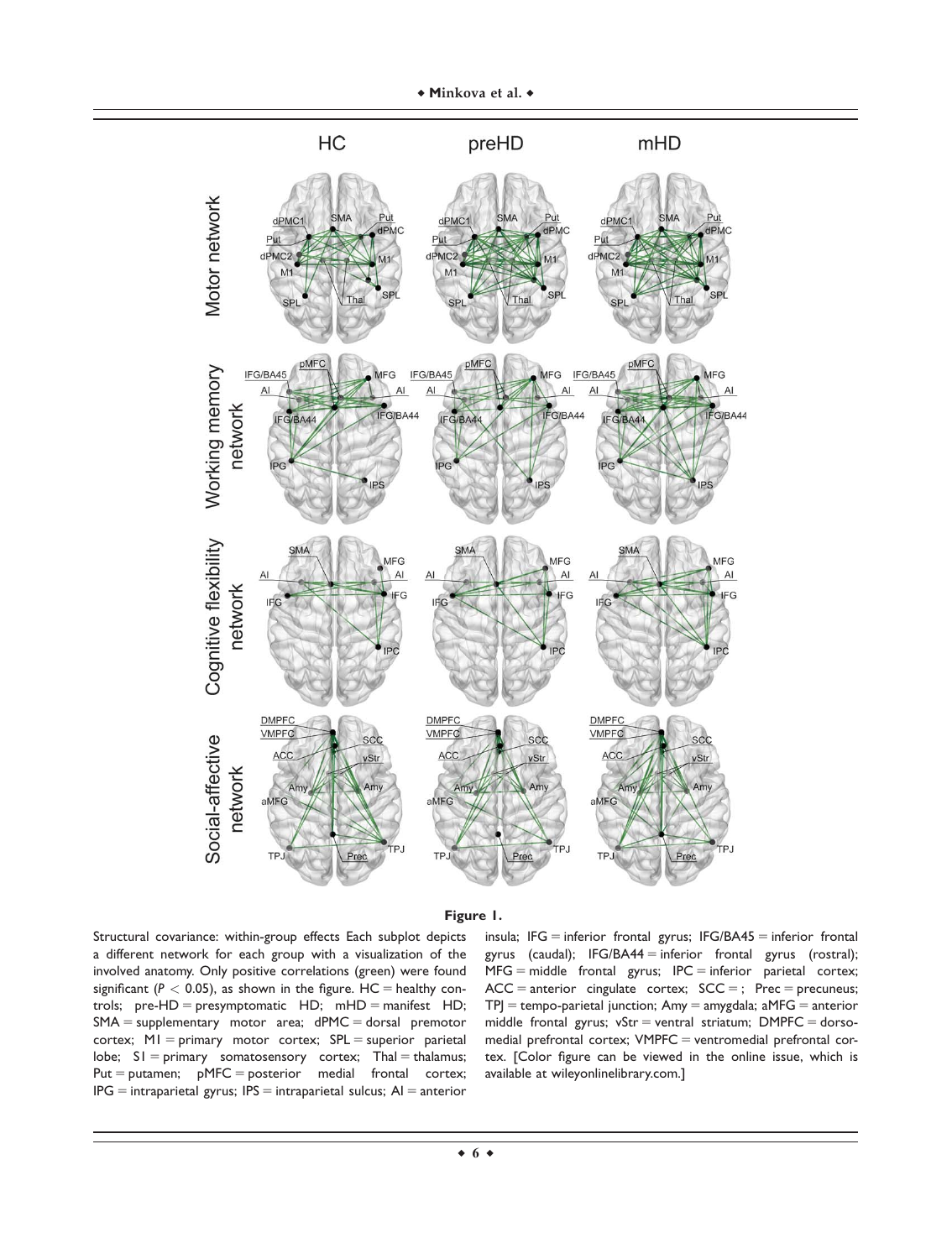



Structural covariance: within-group effects Each subplot depicts a different network for each group with a visualization of the involved anatomy. Only positive correlations (green) were found significant ( $P < 0.05$ ), as shown in the figure.  $HC =$  healthy controls; pre-HD = presymptomatic HD; mHD = manifest HD;  $SMA = supplementary motor area; dPMC = dorsal premotor$ cortex;  $MI = primary$  motor cortex;  $SPL = superior$  parietal lobe;  $SI = primary$  somatosensory cortex; Thal = thalamus; Put  $=$  putamen;  $pMFC = posterior$  medial frontal cortex;  $IPG =$  intraparietal gyrus;  $IPS =$  intraparietal sulcus;  $AI =$  anterior

insula; IFG = inferior frontal gyrus; IFG/BA45 = inferior frontal gyrus (caudal);  $IFG/BA44 = inferior frontal gyrus (rostral);$  $MFG = middle$  frontal gyrus;  $IPC = inferior$  parietal cortex;  $ACC = anterior$  cingulate cortex;  $SCC =$ ; Prec = precuneus;  $TPJ$  = tempo-parietal junction; Amy = amygdala; aMFG = anterior middle frontal gyrus;  $vStr =$  ventral striatum; DMPFC = dorso $m$ edial prefrontal cortex;  $V$ MPFC = ventromedial prefrontal cortex. [Color figure can be viewed in the online issue, which is available at [wileyonlinelibrary.com](http://wileyonlinelibrary.com).]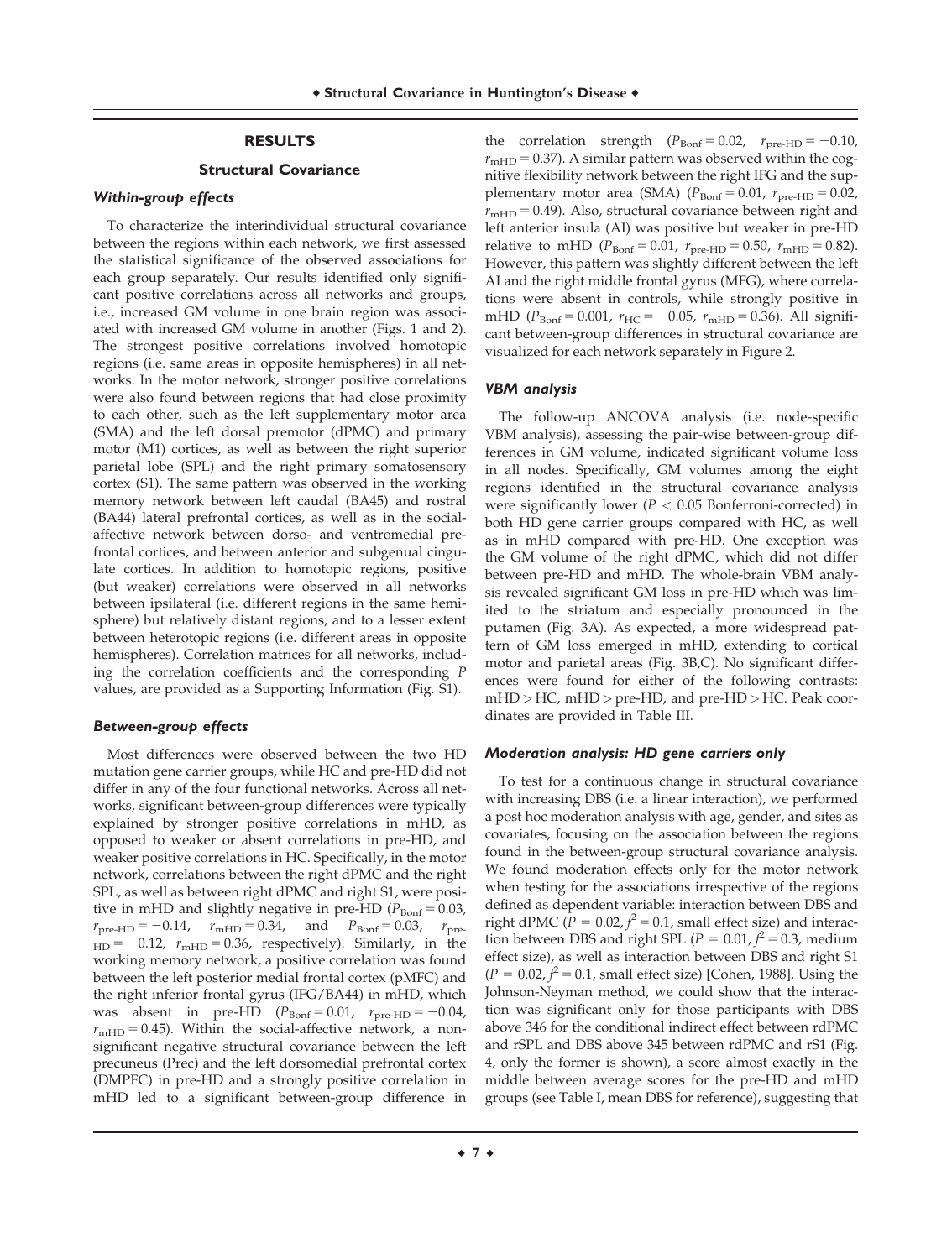### **RESULTS**

#### **Structural Covariance**

# Within-group effects

To characterize the interindividual structural covariance between the regions within each network, we first assessed the statistical significance of the observed associations for each group separately. Our results identified only significant positive correlations across all networks and groups, i.e., increased GM volume in one brain region was associated with increased GM volume in another (Figs. 1 and 2). The strongest positive correlations involved homotopic regions (i.e. same areas in opposite hemispheres) in all networks. In the motor network, stronger positive correlations were also found between regions that had close proximity to each other, such as the left supplementary motor area (SMA) and the left dorsal premotor (dPMC) and primary motor (M1) cortices, as well as between the right superior parietal lobe (SPL) and the right primary somatosensory cortex (S1). The same pattern was observed in the working memory network between left caudal (BA45) and rostral (BA44) lateral prefrontal cortices, as well as in the socialaffective network between dorso- and ventromedial prefrontal cortices, and between anterior and subgenual cingulate cortices. In addition to homotopic regions, positive (but weaker) correlations were observed in all networks between ipsilateral (i.e. different regions in the same hemisphere) but relatively distant regions, and to a lesser extent between heterotopic regions (i.e. different areas in opposite hemispheres). Correlation matrices for all networks, including the correlation coefficients and the corresponding P values, are provided as a Supporting Information (Fig. S1).

## Between-group effects

Most differences were observed between the two HD mutation gene carrier groups, while HC and pre-HD did not differ in any of the four functional networks. Across all networks, significant between-group differences were typically explained by stronger positive correlations in mHD, as opposed to weaker or absent correlations in pre-HD, and weaker positive correlations in HC. Specifically, in the motor network, correlations between the right dPMC and the right SPL, as well as between right dPMC and right S1, were positive in mHD and slightly negative in pre-HD ( $P_{\text{Bonf}} = 0.03$ ,  $r_{\text{pre-HD}} = -0.14$ ,  $r_{\text{mHD}} = 0.34$ , and  $P_{\text{Bonf}} = 0.03$ ,  $r_{\text{pre}}$  $_{HD}$  = -0.12,  $r_{\text{mHD}}$  = 0.36, respectively). Similarly, in the working memory network, a positive correlation was found between the left posterior medial frontal cortex (pMFC) and the right inferior frontal gyrus (IFG/BA44) in mHD, which was absent in pre-HD  $(P_{\text{Bonf}} = 0.01, r_{\text{pre-HD}} = -0.04,$  $r<sub>mHD</sub> = 0.45$ ). Within the social-affective network, a nonsignificant negative structural covariance between the left precuneus (Prec) and the left dorsomedial prefrontal cortex (DMPFC) in pre-HD and a strongly positive correlation in mHD led to a significant between-group difference in

the correlation strength ( $P_{\text{Bonf}} = 0.02$ ,  $r_{\text{pre-HD}} = -0.10$ ,  $r<sub>mHD</sub> = 0.37$ ). A similar pattern was observed within the cognitive flexibility network between the right IFG and the supplementary motor area (SMA) ( $P_{\text{Bonf}} = 0.01$ ,  $r_{\text{pre-HD}} = 0.02$ ,  $r<sub>mHD</sub> = 0.49$ ). Also, structural covariance between right and left anterior insula (AI) was positive but weaker in pre-HD relative to mHD ( $P_{\text{Bonf}} = 0.01$ ,  $r_{\text{pre-HD}} = 0.50$ ,  $r_{\text{mHD}} = 0.82$ ). However, this pattern was slightly different between the left AI and the right middle frontal gyrus (MFG), where correlations were absent in controls, while strongly positive in mHD ( $P_{\text{Bonf}} = 0.001$ ,  $r_{\text{HC}} = -0.05$ ,  $r_{\text{mHD}} = 0.36$ ). All significant between-group differences in structural covariance are visualized for each network separately in Figure 2.

#### VBM analysis

The follow-up ANCOVA analysis (i.e. node-specific VBM analysis), assessing the pair-wise between-group differences in GM volume, indicated significant volume loss in all nodes. Specifically, GM volumes among the eight regions identified in the structural covariance analysis were significantly lower ( $P < 0.05$  Bonferroni-corrected) in both HD gene carrier groups compared with HC, as well as in mHD compared with pre-HD. One exception was the GM volume of the right dPMC, which did not differ between pre-HD and mHD. The whole-brain VBM analysis revealed significant GM loss in pre-HD which was limited to the striatum and especially pronounced in the putamen (Fig. 3A). As expected, a more widespread pattern of GM loss emerged in mHD, extending to cortical motor and parietal areas (Fig. 3B,C). No significant differences were found for either of the following contrasts: mHD > HC, mHD > pre-HD, and pre-HD > HC. Peak coordinates are provided in Table III.

# Moderation analysis: HD gene carriers only

To test for a continuous change in structural covariance with increasing DBS (i.e. a linear interaction), we performed a post hoc moderation analysis with age, gender, and sites as covariates, focusing on the association between the regions found in the between-group structural covariance analysis. We found moderation effects only for the motor network when testing for the associations irrespective of the regions defined as dependent variable: interaction between DBS and right dPMC ( $\bar{P} = 0.02$ ,  $\hat{f}^2 = 0.1$ , small effect size) and interaction between DBS and right SPL ( $P = 0.01$ ,  $f^2 = 0.3$ , medium effect size), as well as interaction between DBS and right S1  $(P = 0.02, f^2 = 0.1$ , small effect size) [Cohen, 1988]. Using the Johnson-Neyman method, we could show that the interaction was significant only for those participants with DBS above 346 for the conditional indirect effect between rdPMC and rSPL and DBS above 345 between rdPMC and rS1 (Fig. 4, only the former is shown), a score almost exactly in the middle between average scores for the pre-HD and mHD groups (see Table I, mean DBS for reference), suggesting that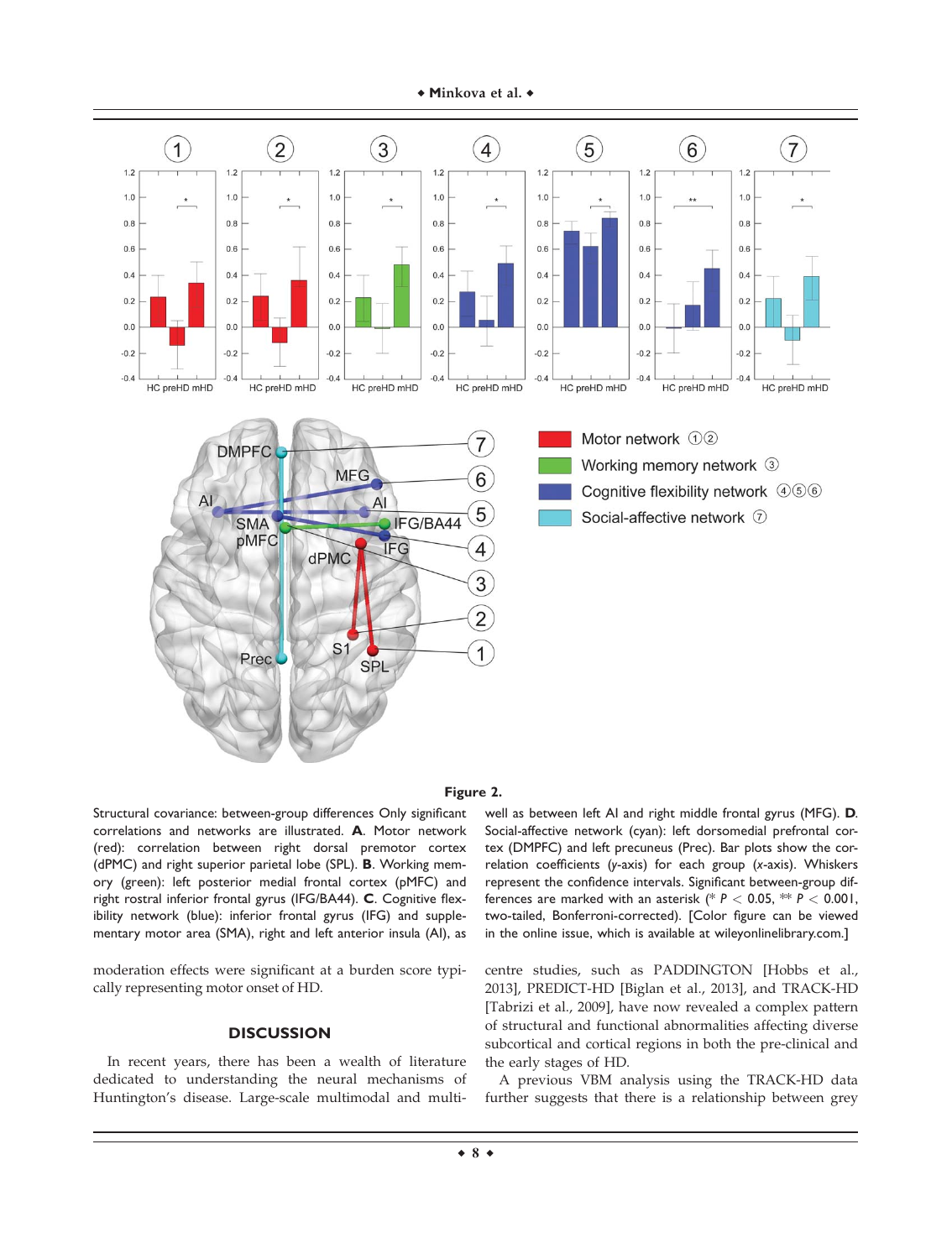



Structural covariance: between-group differences Only significant correlations and networks are illustrated. **A**. Motor network (red): correlation between right dorsal premotor cortex (dPMC) and right superior parietal lobe (SPL). **B**. Working memory (green): left posterior medial frontal cortex (pMFC) and right rostral inferior frontal gyrus (IFG/BA44). **C**. Cognitive flexibility network (blue): inferior frontal gyrus (IFG) and supplementary motor area (SMA), right and left anterior insula (AI), as

moderation effects were significant at a burden score typically representing motor onset of HD.

# **DISCUSSION**

In recent years, there has been a wealth of literature dedicated to understanding the neural mechanisms of Huntington's disease. Large-scale multimodal and multi-

well as between left AI and right middle frontal gyrus (MFG). **D**. Social-affective network (cyan): left dorsomedial prefrontal cortex (DMPFC) and left precuneus (Prec). Bar plots show the correlation coefficients (*y*-axis) for each group (*x*-axis). Whiskers represent the confidence intervals. Significant between-group differences are marked with an asterisk  $(* P < 0.05, ** P < 0.001,$ two-tailed, Bonferroni-corrected). [Color figure can be viewed in the online issue, which is available at [wileyonlinelibrary.com](http://wileyonlinelibrary.com).]

centre studies, such as PADDINGTON [Hobbs et al., 2013], PREDICT-HD [Biglan et al., 2013], and TRACK-HD [Tabrizi et al., 2009], have now revealed a complex pattern of structural and functional abnormalities affecting diverse subcortical and cortical regions in both the pre-clinical and the early stages of HD.

A previous VBM analysis using the TRACK-HD data further suggests that there is a relationship between grey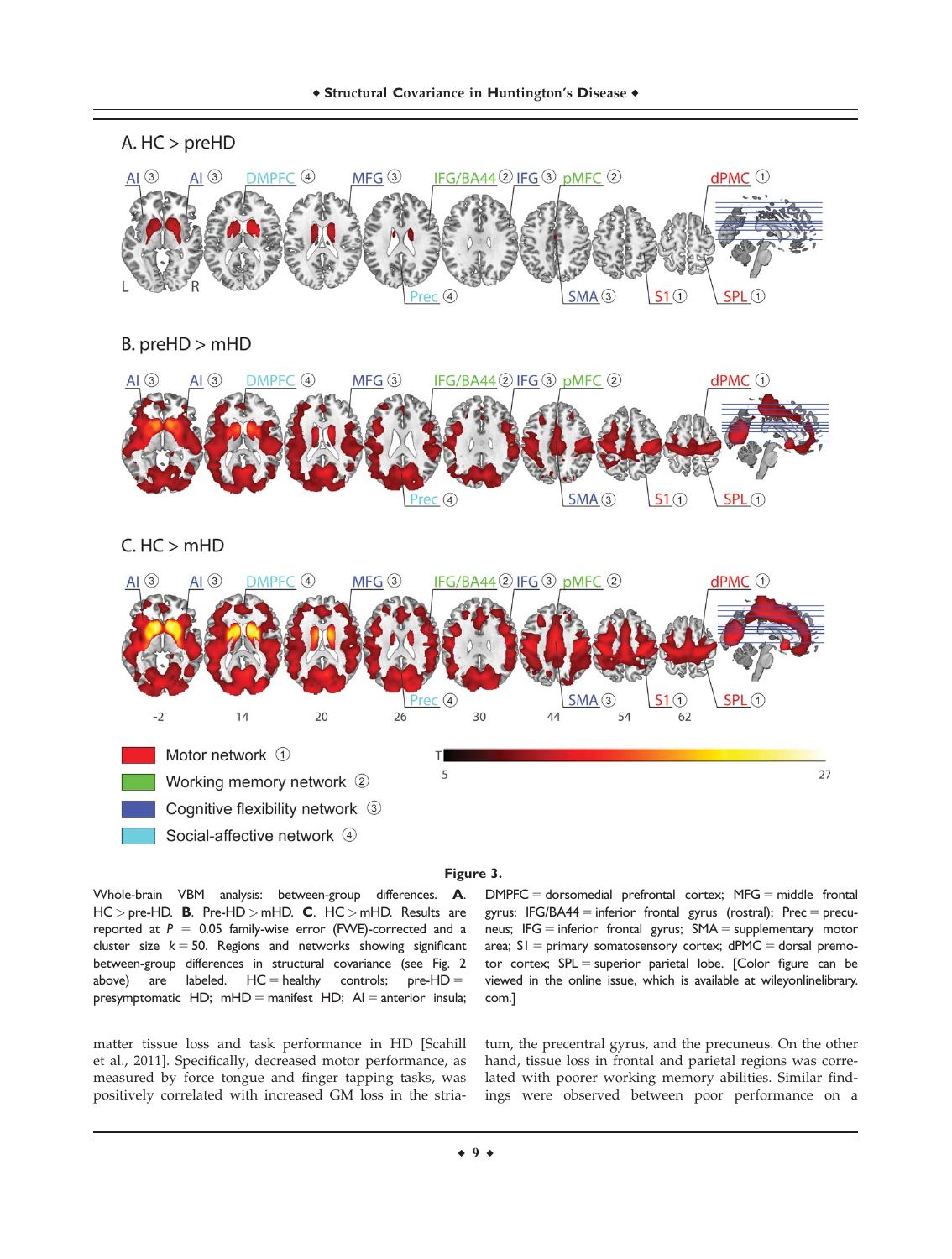

**Figure 3.**

Whole-brain VBM analysis: between-group differences. **A**. HC> pre-HD. **B**. Pre-HD> mHD. **C**. HC> mHD. Results are reported at  $P = 0.05$  family-wise error (FWE)-corrected and a cluster size  $k = 50$ . Regions and networks showing significant between-group differences in structural covariance (see Fig. 2 above) are labeled.  $HC =$  healthy controls; pre-HD  $=$ presymptomatic HD; mHD = manifest HD;  $AI$  = anterior insula;

matter tissue loss and task performance in HD [Scahill et al., 2011]. Specifically, decreased motor performance, as measured by force tongue and finger tapping tasks, was positively correlated with increased GM loss in the stria-

 $DMPFC =$  dorsomedial prefrontal cortex;  $MFG =$  middle frontal gyrus; IFG/BA44 = inferior frontal gyrus (rostral); Prec = precuneus;  $IFG = inferior frontal gyrus; SMA = supplementary motor$ area;  $SI =$  primary somatosensory cortex;  $dPMC =$  dorsal premotor cortex;  $SPL =$  superior parietal lobe. [Color figure can be viewed in the online issue, which is available at [wileyonlinelibrary.](http://wileyonlinelibrary.com) [com](http://wileyonlinelibrary.com).]

tum, the precentral gyrus, and the precuneus. On the other hand, tissue loss in frontal and parietal regions was correlated with poorer working memory abilities. Similar findings were observed between poor performance on a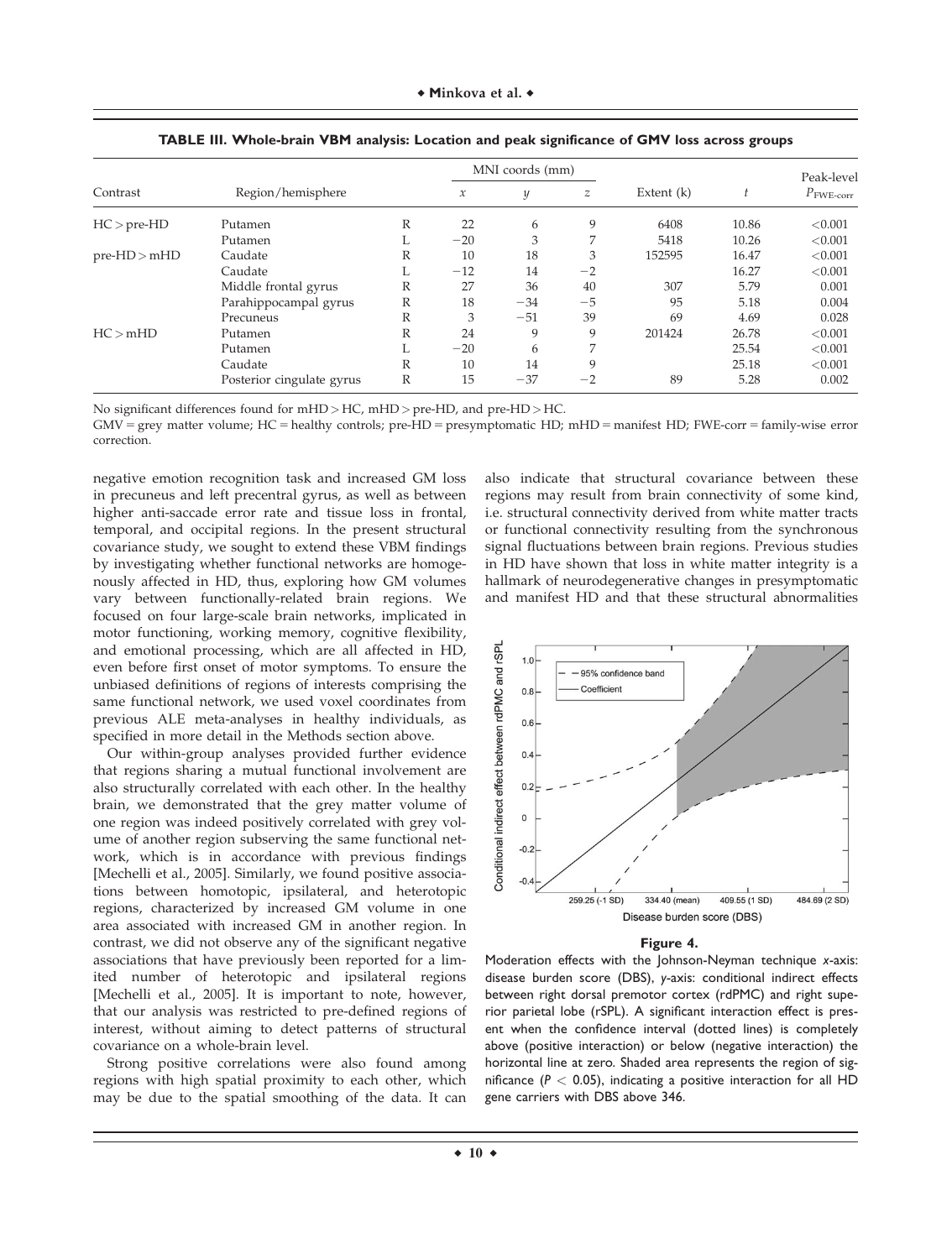|                |                           |   | MNI coords (mm)                                     |       |              |        |                           | Peak-level |
|----------------|---------------------------|---|-----------------------------------------------------|-------|--------------|--------|---------------------------|------------|
| Contrast       | Region/hemisphere         |   | $\boldsymbol{z}$<br>$\boldsymbol{\mathcal{X}}$<br>y |       | Extent $(k)$ |        | $P_{\rm FWE\text{-}corr}$ |            |
| $HC > pre-HD$  | Putamen                   | R | 22                                                  | 6     | 9            | 6408   | 10.86                     | < 0.001    |
|                | Putamen                   |   | $-20$                                               | 3     | 7            | 5418   | 10.26                     | < 0.001    |
| $pre-HD > mHD$ | Caudate                   | R | 10                                                  | 18    | 3            | 152595 | 16.47                     | < 0.001    |
|                | Caudate                   |   | $-12$                                               | 14    | $^{-2}$      |        | 16.27                     | < 0.001    |
|                | Middle frontal gyrus      | R | 27                                                  | 36    | 40           | 307    | 5.79                      | 0.001      |
|                | Parahippocampal gyrus     | R | 18                                                  | $-34$ | $-5$         | 95     | 5.18                      | 0.004      |
|                | Precuneus                 | R | 3                                                   | $-51$ | 39           | 69     | 4.69                      | 0.028      |
| HC > mHD       | Putamen                   | R | 24                                                  | 9     | 9            | 201424 | 26.78                     | < 0.001    |
|                | Putamen                   |   | $-20$                                               | 6     | 7            |        | 25.54                     | < 0.001    |
|                | Caudate                   | R | 10                                                  | 14    | $\mathbf Q$  |        | 25.18                     | < 0.001    |
|                | Posterior cingulate gyrus | R | 15                                                  | $-37$ | $-2$         | 89     | 5.28                      | 0.002      |

**TABLE III. Whole-brain VBM analysis: Location and peak significance of GMV loss across groups**

No significant differences found for mHD > HC, mHD > pre-HD, and pre-HD > HC.

 $GMV = grey$  matter volume;  $HC =$  healthy controls; pre-HD = presymptomatic HD; mHD = manifest HD; FWE-corr = family-wise error correction.

negative emotion recognition task and increased GM loss in precuneus and left precentral gyrus, as well as between higher anti-saccade error rate and tissue loss in frontal, temporal, and occipital regions. In the present structural covariance study, we sought to extend these VBM findings by investigating whether functional networks are homogenously affected in HD, thus, exploring how GM volumes vary between functionally-related brain regions. We focused on four large-scale brain networks, implicated in motor functioning, working memory, cognitive flexibility, and emotional processing, which are all affected in HD, even before first onset of motor symptoms. To ensure the unbiased definitions of regions of interests comprising the same functional network, we used voxel coordinates from previous ALE meta-analyses in healthy individuals, as specified in more detail in the Methods section above.

Our within-group analyses provided further evidence that regions sharing a mutual functional involvement are also structurally correlated with each other. In the healthy brain, we demonstrated that the grey matter volume of one region was indeed positively correlated with grey volume of another region subserving the same functional network, which is in accordance with previous findings [Mechelli et al., 2005]. Similarly, we found positive associations between homotopic, ipsilateral, and heterotopic regions, characterized by increased GM volume in one area associated with increased GM in another region. In contrast, we did not observe any of the significant negative associations that have previously been reported for a limited number of heterotopic and ipsilateral regions [Mechelli et al., 2005]. It is important to note, however, that our analysis was restricted to pre-defined regions of interest, without aiming to detect patterns of structural covariance on a whole-brain level.

Strong positive correlations were also found among regions with high spatial proximity to each other, which may be due to the spatial smoothing of the data. It can also indicate that structural covariance between these regions may result from brain connectivity of some kind, i.e. structural connectivity derived from white matter tracts or functional connectivity resulting from the synchronous signal fluctuations between brain regions. Previous studies in HD have shown that loss in white matter integrity is a hallmark of neurodegenerative changes in presymptomatic and manifest HD and that these structural abnormalities



#### **Figure 4.**

Moderation effects with the Johnson-Neyman technique *x*-axis: disease burden score (DBS), *y*-axis: conditional indirect effects between right dorsal premotor cortex (rdPMC) and right superior parietal lobe (rSPL). A significant interaction effect is present when the confidence interval (dotted lines) is completely above (positive interaction) or below (negative interaction) the horizontal line at zero. Shaded area represents the region of significance  $(P < 0.05)$ , indicating a positive interaction for all HD gene carriers with DBS above 346.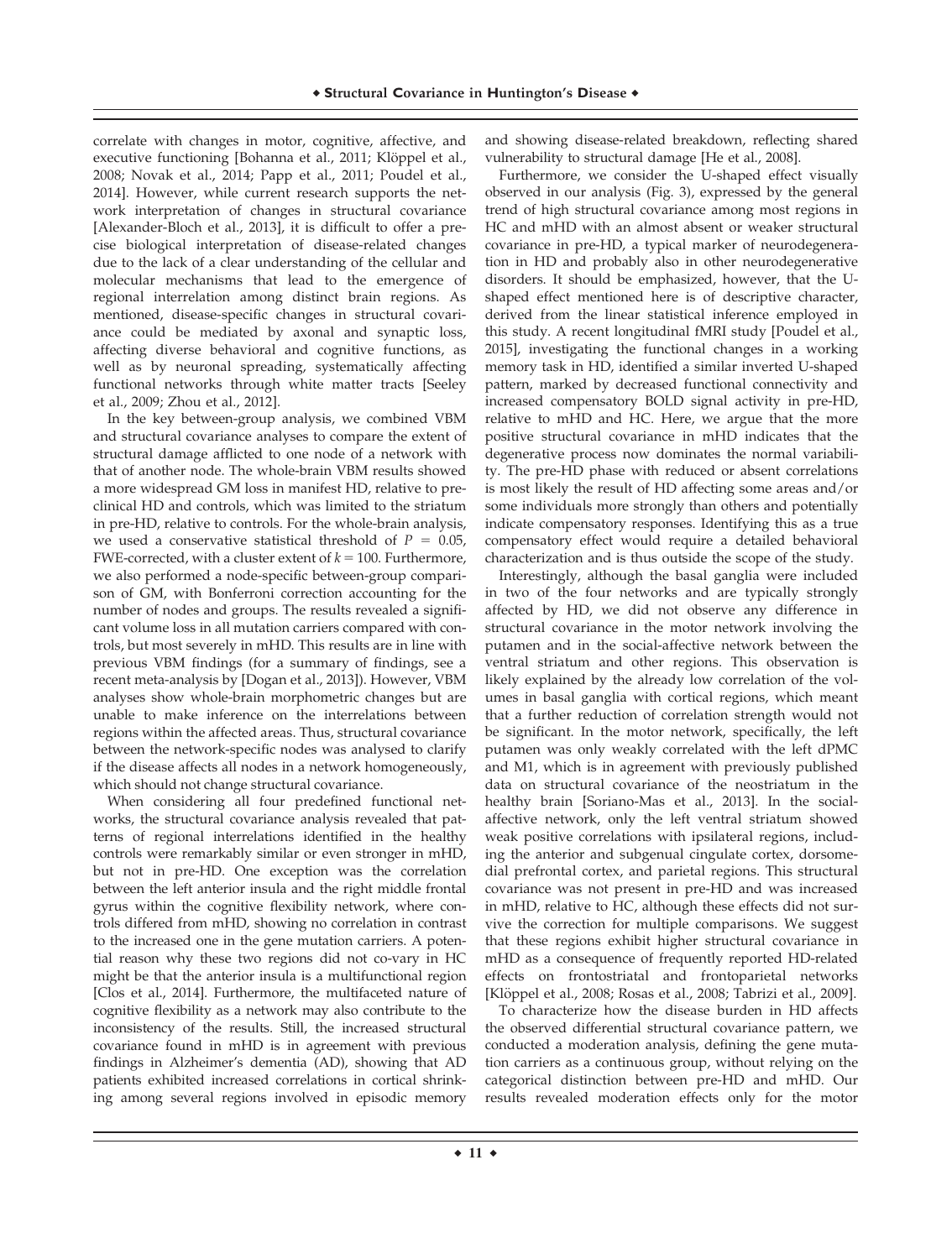correlate with changes in motor, cognitive, affective, and executive functioning [Bohanna et al., 2011; Klöppel et al., 2008; Novak et al., 2014; Papp et al., 2011; Poudel et al., 2014]. However, while current research supports the network interpretation of changes in structural covariance [Alexander-Bloch et al., 2013], it is difficult to offer a precise biological interpretation of disease-related changes due to the lack of a clear understanding of the cellular and molecular mechanisms that lead to the emergence of regional interrelation among distinct brain regions. As mentioned, disease-specific changes in structural covariance could be mediated by axonal and synaptic loss, affecting diverse behavioral and cognitive functions, as well as by neuronal spreading, systematically affecting functional networks through white matter tracts [Seeley et al., 2009; Zhou et al., 2012].

In the key between-group analysis, we combined VBM and structural covariance analyses to compare the extent of structural damage afflicted to one node of a network with that of another node. The whole-brain VBM results showed a more widespread GM loss in manifest HD, relative to preclinical HD and controls, which was limited to the striatum in pre-HD, relative to controls. For the whole-brain analysis, we used a conservative statistical threshold of  $P = 0.05$ , FWE-corrected, with a cluster extent of  $k = 100$ . Furthermore, we also performed a node-specific between-group comparison of GM, with Bonferroni correction accounting for the number of nodes and groups. The results revealed a significant volume loss in all mutation carriers compared with controls, but most severely in mHD. This results are in line with previous VBM findings (for a summary of findings, see a recent meta-analysis by [Dogan et al., 2013]). However, VBM analyses show whole-brain morphometric changes but are unable to make inference on the interrelations between regions within the affected areas. Thus, structural covariance between the network-specific nodes was analysed to clarify if the disease affects all nodes in a network homogeneously, which should not change structural covariance.

When considering all four predefined functional networks, the structural covariance analysis revealed that patterns of regional interrelations identified in the healthy controls were remarkably similar or even stronger in mHD, but not in pre-HD. One exception was the correlation between the left anterior insula and the right middle frontal gyrus within the cognitive flexibility network, where controls differed from mHD, showing no correlation in contrast to the increased one in the gene mutation carriers. A potential reason why these two regions did not co-vary in HC might be that the anterior insula is a multifunctional region [Clos et al., 2014]. Furthermore, the multifaceted nature of cognitive flexibility as a network may also contribute to the inconsistency of the results. Still, the increased structural covariance found in mHD is in agreement with previous findings in Alzheimer's dementia (AD), showing that AD patients exhibited increased correlations in cortical shrinking among several regions involved in episodic memory

and showing disease-related breakdown, reflecting shared vulnerability to structural damage [He et al., 2008].

Furthermore, we consider the U-shaped effect visually observed in our analysis (Fig. 3), expressed by the general trend of high structural covariance among most regions in HC and mHD with an almost absent or weaker structural covariance in pre-HD, a typical marker of neurodegeneration in HD and probably also in other neurodegenerative disorders. It should be emphasized, however, that the Ushaped effect mentioned here is of descriptive character, derived from the linear statistical inference employed in this study. A recent longitudinal fMRI study [Poudel et al., 2015], investigating the functional changes in a working memory task in HD, identified a similar inverted U-shaped pattern, marked by decreased functional connectivity and increased compensatory BOLD signal activity in pre-HD, relative to mHD and HC. Here, we argue that the more positive structural covariance in mHD indicates that the degenerative process now dominates the normal variability. The pre-HD phase with reduced or absent correlations is most likely the result of HD affecting some areas and/or some individuals more strongly than others and potentially indicate compensatory responses. Identifying this as a true compensatory effect would require a detailed behavioral characterization and is thus outside the scope of the study.

Interestingly, although the basal ganglia were included in two of the four networks and are typically strongly affected by HD, we did not observe any difference in structural covariance in the motor network involving the putamen and in the social-affective network between the ventral striatum and other regions. This observation is likely explained by the already low correlation of the volumes in basal ganglia with cortical regions, which meant that a further reduction of correlation strength would not be significant. In the motor network, specifically, the left putamen was only weakly correlated with the left dPMC and M1, which is in agreement with previously published data on structural covariance of the neostriatum in the healthy brain [Soriano-Mas et al., 2013]. In the socialaffective network, only the left ventral striatum showed weak positive correlations with ipsilateral regions, including the anterior and subgenual cingulate cortex, dorsomedial prefrontal cortex, and parietal regions. This structural covariance was not present in pre-HD and was increased in mHD, relative to HC, although these effects did not survive the correction for multiple comparisons. We suggest that these regions exhibit higher structural covariance in mHD as a consequence of frequently reported HD-related effects on frontostriatal and frontoparietal networks [Klöppel et al., 2008; Rosas et al., 2008; Tabrizi et al., 2009].

To characterize how the disease burden in HD affects the observed differential structural covariance pattern, we conducted a moderation analysis, defining the gene mutation carriers as a continuous group, without relying on the categorical distinction between pre-HD and mHD. Our results revealed moderation effects only for the motor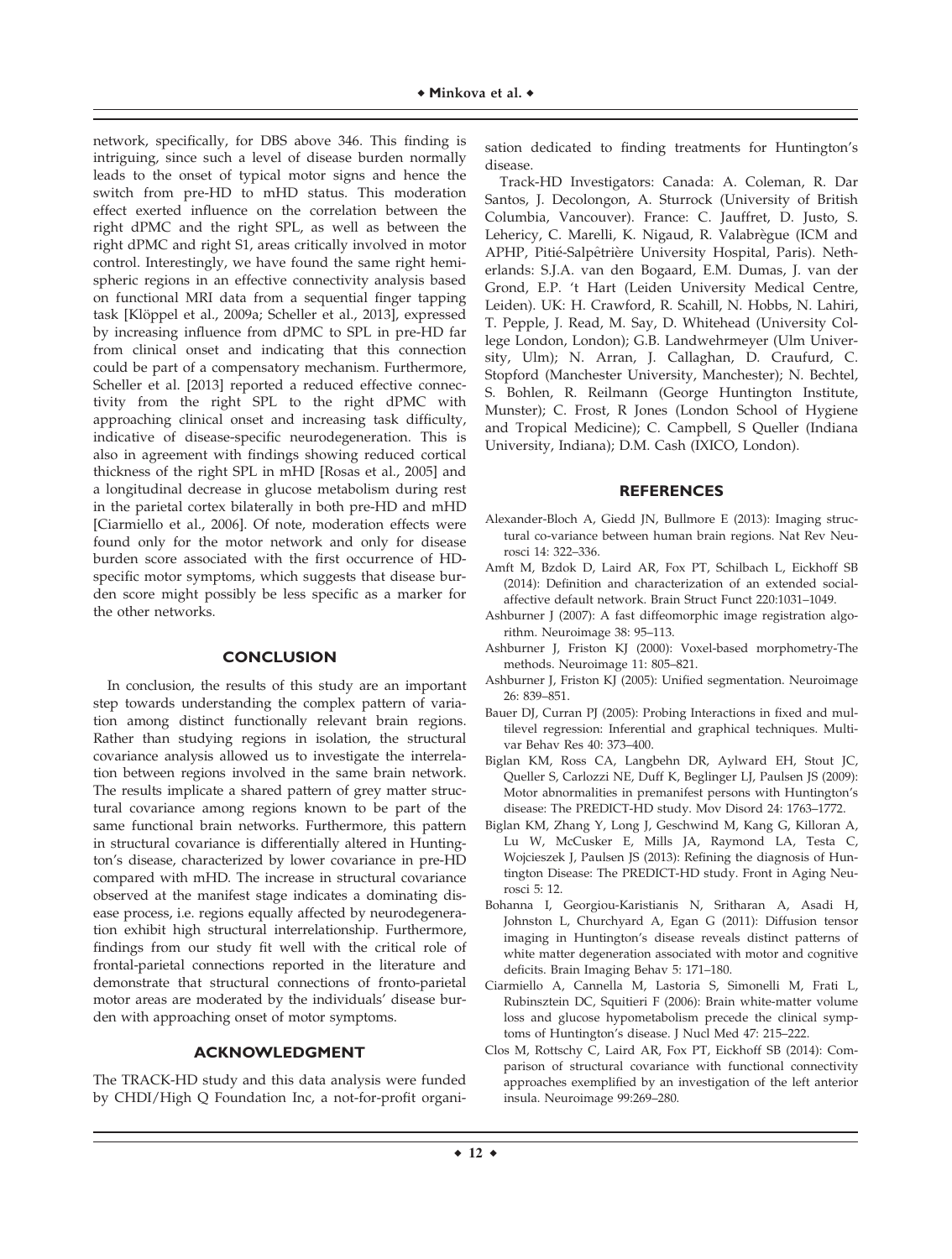network, specifically, for DBS above 346. This finding is intriguing, since such a level of disease burden normally leads to the onset of typical motor signs and hence the switch from pre-HD to mHD status. This moderation effect exerted influence on the correlation between the right dPMC and the right SPL, as well as between the right dPMC and right S1, areas critically involved in motor control. Interestingly, we have found the same right hemispheric regions in an effective connectivity analysis based on functional MRI data from a sequential finger tapping task [Klöppel et al., 2009a; Scheller et al., 2013], expressed by increasing influence from dPMC to SPL in pre-HD far from clinical onset and indicating that this connection could be part of a compensatory mechanism. Furthermore, Scheller et al. [2013] reported a reduced effective connectivity from the right SPL to the right dPMC with approaching clinical onset and increasing task difficulty, indicative of disease-specific neurodegeneration. This is also in agreement with findings showing reduced cortical thickness of the right SPL in mHD [Rosas et al., 2005] and a longitudinal decrease in glucose metabolism during rest in the parietal cortex bilaterally in both pre-HD and mHD [Ciarmiello et al., 2006]. Of note, moderation effects were found only for the motor network and only for disease burden score associated with the first occurrence of HDspecific motor symptoms, which suggests that disease burden score might possibly be less specific as a marker for the other networks.

# **CONCLUSION**

In conclusion, the results of this study are an important step towards understanding the complex pattern of variation among distinct functionally relevant brain regions. Rather than studying regions in isolation, the structural covariance analysis allowed us to investigate the interrelation between regions involved in the same brain network. The results implicate a shared pattern of grey matter structural covariance among regions known to be part of the same functional brain networks. Furthermore, this pattern in structural covariance is differentially altered in Huntington's disease, characterized by lower covariance in pre-HD compared with mHD. The increase in structural covariance observed at the manifest stage indicates a dominating disease process, i.e. regions equally affected by neurodegeneration exhibit high structural interrelationship. Furthermore, findings from our study fit well with the critical role of frontal-parietal connections reported in the literature and demonstrate that structural connections of fronto-parietal motor areas are moderated by the individuals' disease burden with approaching onset of motor symptoms.

# **ACKNOWLEDGMENT**

The TRACK-HD study and this data analysis were funded by CHDI/High Q Foundation Inc, a not-for-profit organisation dedicated to finding treatments for Huntington's disease.

Track-HD Investigators: Canada: A. Coleman, R. Dar Santos, J. Decolongon, A. Sturrock (University of British Columbia, Vancouver). France: C. Jauffret, D. Justo, S. Lehericy, C. Marelli, K. Nigaud, R. Valabrègue (ICM and APHP, Pitié-Salpêtrière University Hospital, Paris). Netherlands: S.J.A. van den Bogaard, E.M. Dumas, J. van der Grond, E.P. 't Hart (Leiden University Medical Centre, Leiden). UK: H. Crawford, R. Scahill, N. Hobbs, N. Lahiri, T. Pepple, J. Read, M. Say, D. Whitehead (University College London, London); G.B. Landwehrmeyer (Ulm University, Ulm); N. Arran, J. Callaghan, D. Craufurd, C. Stopford (Manchester University, Manchester); N. Bechtel, S. Bohlen, R. Reilmann (George Huntington Institute, Munster); C. Frost, R Jones (London School of Hygiene and Tropical Medicine); C. Campbell, S Queller (Indiana University, Indiana); D.M. Cash (IXICO, London).

# **REFERENCES**

- Alexander-Bloch A, Giedd JN, Bullmore E (2013): Imaging structural co-variance between human brain regions. Nat Rev Neurosci 14: 322–336.
- Amft M, Bzdok D, Laird AR, Fox PT, Schilbach L, Eickhoff SB (2014): Definition and characterization of an extended socialaffective default network. Brain Struct Funct 220:1031–1049.
- Ashburner J (2007): A fast diffeomorphic image registration algorithm. Neuroimage 38: 95–113.
- Ashburner J, Friston KJ (2000): Voxel-based morphometry-The methods. Neuroimage 11: 805–821.
- Ashburner J, Friston KJ (2005): Unified segmentation. Neuroimage 26: 839–851.
- Bauer DJ, Curran PJ (2005): Probing Interactions in fixed and multilevel regression: Inferential and graphical techniques. Multivar Behav Res 40: 373–400.
- Biglan KM, Ross CA, Langbehn DR, Aylward EH, Stout JC, Queller S, Carlozzi NE, Duff K, Beglinger LJ, Paulsen JS (2009): Motor abnormalities in premanifest persons with Huntington's disease: The PREDICT-HD study. Mov Disord 24: 1763–1772.
- Biglan KM, Zhang Y, Long J, Geschwind M, Kang G, Killoran A, Lu W, McCusker E, Mills JA, Raymond LA, Testa C, Wojcieszek J, Paulsen JS (2013): Refining the diagnosis of Huntington Disease: The PREDICT-HD study. Front in Aging Neurosci 5: 12.
- Bohanna I, Georgiou-Karistianis N, Sritharan A, Asadi H, Johnston L, Churchyard A, Egan G (2011): Diffusion tensor imaging in Huntington's disease reveals distinct patterns of white matter degeneration associated with motor and cognitive deficits. Brain Imaging Behav 5: 171–180.
- Ciarmiello A, Cannella M, Lastoria S, Simonelli M, Frati L, Rubinsztein DC, Squitieri F (2006): Brain white-matter volume loss and glucose hypometabolism precede the clinical symptoms of Huntington's disease. J Nucl Med 47: 215–222.
- Clos M, Rottschy C, Laird AR, Fox PT, Eickhoff SB (2014): Comparison of structural covariance with functional connectivity approaches exemplified by an investigation of the left anterior insula. Neuroimage 99:269–280.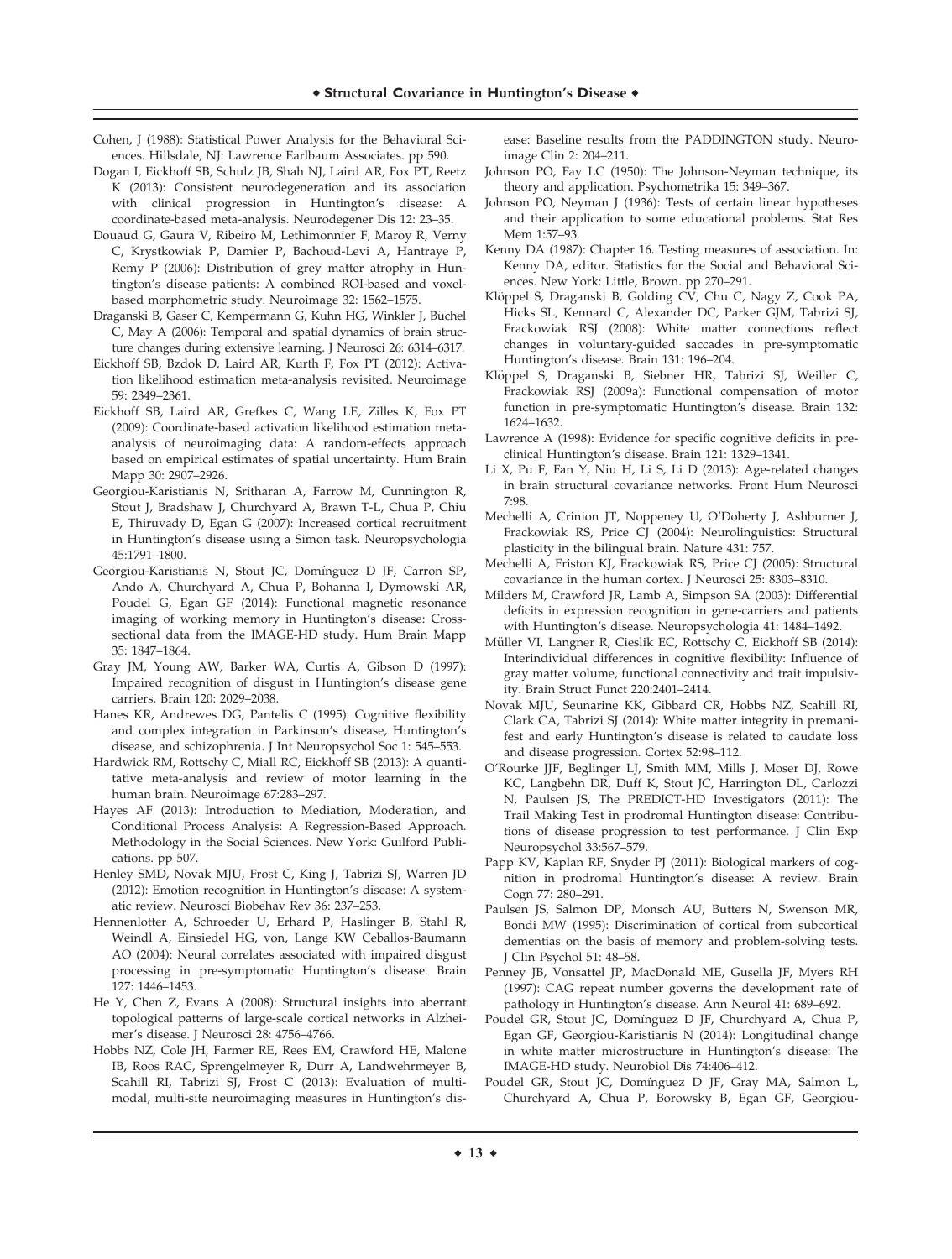- Cohen, J (1988): Statistical Power Analysis for the Behavioral Sciences. Hillsdale, NJ: Lawrence Earlbaum Associates. pp 590.
- Dogan I, Eickhoff SB, Schulz JB, Shah NJ, Laird AR, Fox PT, Reetz K (2013): Consistent neurodegeneration and its association with clinical progression in Huntington's disease: A coordinate-based meta-analysis. Neurodegener Dis 12: 23–35.
- Douaud G, Gaura V, Ribeiro M, Lethimonnier F, Maroy R, Verny C, Krystkowiak P, Damier P, Bachoud-Levi A, Hantraye P, Remy P (2006): Distribution of grey matter atrophy in Huntington's disease patients: A combined ROI-based and voxelbased morphometric study. Neuroimage 32: 1562–1575.
- Draganski B, Gaser C, Kempermann G, Kuhn HG, Winkler J, Büchel C, May A (2006): Temporal and spatial dynamics of brain structure changes during extensive learning. J Neurosci 26: 6314–6317.
- Eickhoff SB, Bzdok D, Laird AR, Kurth F, Fox PT (2012): Activation likelihood estimation meta-analysis revisited. Neuroimage 59: 2349–2361.
- Eickhoff SB, Laird AR, Grefkes C, Wang LE, Zilles K, Fox PT (2009): Coordinate-based activation likelihood estimation metaanalysis of neuroimaging data: A random-effects approach based on empirical estimates of spatial uncertainty. Hum Brain Mapp 30: 2907–2926.
- Georgiou-Karistianis N, Sritharan A, Farrow M, Cunnington R, Stout J, Bradshaw J, Churchyard A, Brawn T-L, Chua P, Chiu E, Thiruvady D, Egan G (2007): Increased cortical recruitment in Huntington's disease using a Simon task. Neuropsychologia 45:1791–1800.
- Georgiou-Karistianis N, Stout JC, Domínguez D JF, Carron SP, Ando A, Churchyard A, Chua P, Bohanna I, Dymowski AR, Poudel G, Egan GF (2014): Functional magnetic resonance imaging of working memory in Huntington's disease: Crosssectional data from the IMAGE-HD study. Hum Brain Mapp 35: 1847–1864.
- Gray JM, Young AW, Barker WA, Curtis A, Gibson D (1997): Impaired recognition of disgust in Huntington's disease gene carriers. Brain 120: 2029–2038.
- Hanes KR, Andrewes DG, Pantelis C (1995): Cognitive flexibility and complex integration in Parkinson's disease, Huntington's disease, and schizophrenia. J Int Neuropsychol Soc 1: 545–553.
- Hardwick RM, Rottschy C, Miall RC, Eickhoff SB (2013): A quantitative meta-analysis and review of motor learning in the human brain. Neuroimage 67:283–297.
- Hayes AF (2013): Introduction to Mediation, Moderation, and Conditional Process Analysis: A Regression-Based Approach. Methodology in the Social Sciences. New York: Guilford Publications. pp 507.
- Henley SMD, Novak MJU, Frost C, King J, Tabrizi SJ, Warren JD (2012): Emotion recognition in Huntington's disease: A systematic review. Neurosci Biobehav Rev 36: 237–253.
- Hennenlotter A, Schroeder U, Erhard P, Haslinger B, Stahl R, Weindl A, Einsiedel HG, von, Lange KW Ceballos-Baumann AO (2004): Neural correlates associated with impaired disgust processing in pre-symptomatic Huntington's disease. Brain 127: 1446–1453.
- He Y, Chen Z, Evans A (2008): Structural insights into aberrant topological patterns of large-scale cortical networks in Alzheimer's disease. J Neurosci 28: 4756–4766.
- Hobbs NZ, Cole JH, Farmer RE, Rees EM, Crawford HE, Malone IB, Roos RAC, Sprengelmeyer R, Durr A, Landwehrmeyer B, Scahill RI, Tabrizi SJ, Frost C (2013): Evaluation of multimodal, multi-site neuroimaging measures in Huntington's dis-

ease: Baseline results from the PADDINGTON study. Neuroimage Clin 2: 204–211.

- Johnson PO, Fay LC (1950): The Johnson-Neyman technique, its theory and application. Psychometrika 15: 349–367.
- Johnson PO, Neyman J (1936): Tests of certain linear hypotheses and their application to some educational problems. Stat Res Mem 1:57–93.
- Kenny DA (1987): Chapter 16. Testing measures of association. In: Kenny DA, editor. Statistics for the Social and Behavioral Sciences. New York: Little, Brown. pp 270–291.
- Klöppel S, Draganski B, Golding CV, Chu C, Nagy Z, Cook PA, Hicks SL, Kennard C, Alexander DC, Parker GJM, Tabrizi SJ, Frackowiak RSJ (2008): White matter connections reflect changes in voluntary-guided saccades in pre-symptomatic Huntington's disease. Brain 131: 196–204.
- Klöppel S, Draganski B, Siebner HR, Tabrizi SJ, Weiller C, Frackowiak RSJ (2009a): Functional compensation of motor function in pre-symptomatic Huntington's disease. Brain 132: 1624–1632.
- Lawrence A (1998): Evidence for specific cognitive deficits in preclinical Huntington's disease. Brain 121: 1329–1341.
- Li X, Pu F, Fan Y, Niu H, Li S, Li D (2013): Age-related changes in brain structural covariance networks. Front Hum Neurosci 7:98.
- Mechelli A, Crinion JT, Noppeney U, O'Doherty J, Ashburner J, Frackowiak RS, Price CJ (2004): Neurolinguistics: Structural plasticity in the bilingual brain. Nature 431: 757.
- Mechelli A, Friston KJ, Frackowiak RS, Price CJ (2005): Structural covariance in the human cortex. J Neurosci 25: 8303–8310.
- Milders M, Crawford JR, Lamb A, Simpson SA (2003): Differential deficits in expression recognition in gene-carriers and patients with Huntington's disease. Neuropsychologia 41: 1484–1492.
- Müller VI, Langner R, Cieslik EC, Rottschy C, Eickhoff SB (2014): Interindividual differences in cognitive flexibility: Influence of gray matter volume, functional connectivity and trait impulsivity. Brain Struct Funct 220:2401–2414.
- Novak MJU, Seunarine KK, Gibbard CR, Hobbs NZ, Scahill RI, Clark CA, Tabrizi SJ (2014): White matter integrity in premanifest and early Huntington's disease is related to caudate loss and disease progression. Cortex 52:98–112.
- O'Rourke JJF, Beglinger LJ, Smith MM, Mills J, Moser DJ, Rowe KC, Langbehn DR, Duff K, Stout JC, Harrington DL, Carlozzi N, Paulsen JS, The PREDICT-HD Investigators (2011): The Trail Making Test in prodromal Huntington disease: Contributions of disease progression to test performance. J Clin Exp Neuropsychol 33:567–579.
- Papp KV, Kaplan RF, Snyder PJ (2011): Biological markers of cognition in prodromal Huntington's disease: A review. Brain Cogn 77: 280–291.
- Paulsen JS, Salmon DP, Monsch AU, Butters N, Swenson MR, Bondi MW (1995): Discrimination of cortical from subcortical dementias on the basis of memory and problem-solving tests. J Clin Psychol 51: 48–58.
- Penney JB, Vonsattel JP, MacDonald ME, Gusella JF, Myers RH (1997): CAG repeat number governs the development rate of pathology in Huntington's disease. Ann Neurol 41: 689–692.
- Poudel GR, Stout JC, Domínguez D JF, Churchyard A, Chua P, Egan GF, Georgiou-Karistianis N (2014): Longitudinal change in white matter microstructure in Huntington's disease: The IMAGE-HD study. Neurobiol Dis 74:406–412.
- Poudel GR, Stout JC, Domínguez D JF, Gray MA, Salmon L, Churchyard A, Chua P, Borowsky B, Egan GF, Georgiou-